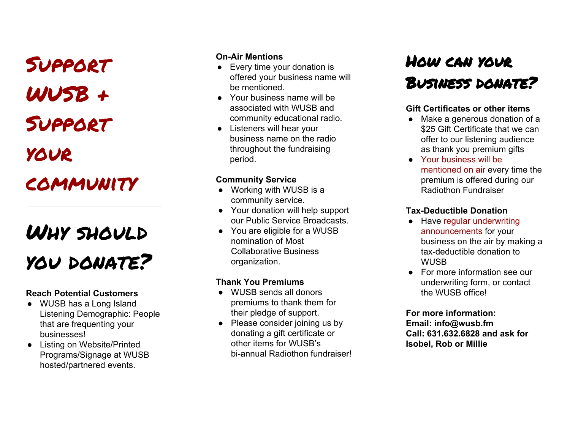Support WUSB + Support your

## community

# Why should you donate?

## **Reach Potential Customers** ● WUSB has <sup>a</sup> Long Island

- Listening Demographic: People that are frequenting your businesses!
- Listing on Website/Printed Programs/Signage at WUSB hosted/partnered events.

- **On-Air Mentions**<br>● Every time your donation is offered your business name will be mentioned.
- Your business name will be associated with WUSB and community educational radio.
- Listeners will hear your business name on the radio throughout the fundraising period.

- **Community Service**<br>● Working with WUSB is a community service.
- Your donation will help support our Public Service Broadcasts.
- You are eligible for a WUSB nomination of Most Collaborative Business organization.

### **Thank You Premiums** ● WUSB sends all donors

- premiums to thank them for their pledge of support.
- Please consider joining us by donating a gift certificate or other items for WUSB's bi-annual Radiothon fundraiser! **Ch-Air Mentions**<br>
• Every time your donation is<br>
• Gered your business name will be<br>
• Your business name will be<br>
• Societed with WUSB and<br>
• Societed with WUSB and<br>
• Listeners will hear your<br>
• Listeners will hear you

## w can yo ur Business donate?

- **Gift Certificates or other items** Make <sup>a</sup> generous donation of a \$25 Gift Certificate that we can offer to our listening audience as thank you premium gifts
- Your business will be mentioned on air every time the premium is offered during our Radiothon Fundraiser

- **Tax-Deductible Donation** Have regular underwriting announcements for your business on the air by making a tax-deductible donation to **WUSB**
- For more information see our underwriting form, or contact the WUSB office!

### **For more information: Email: info@wusb.fm Call: 631.632.6828 and ask for Isobel, Rob or Millie**